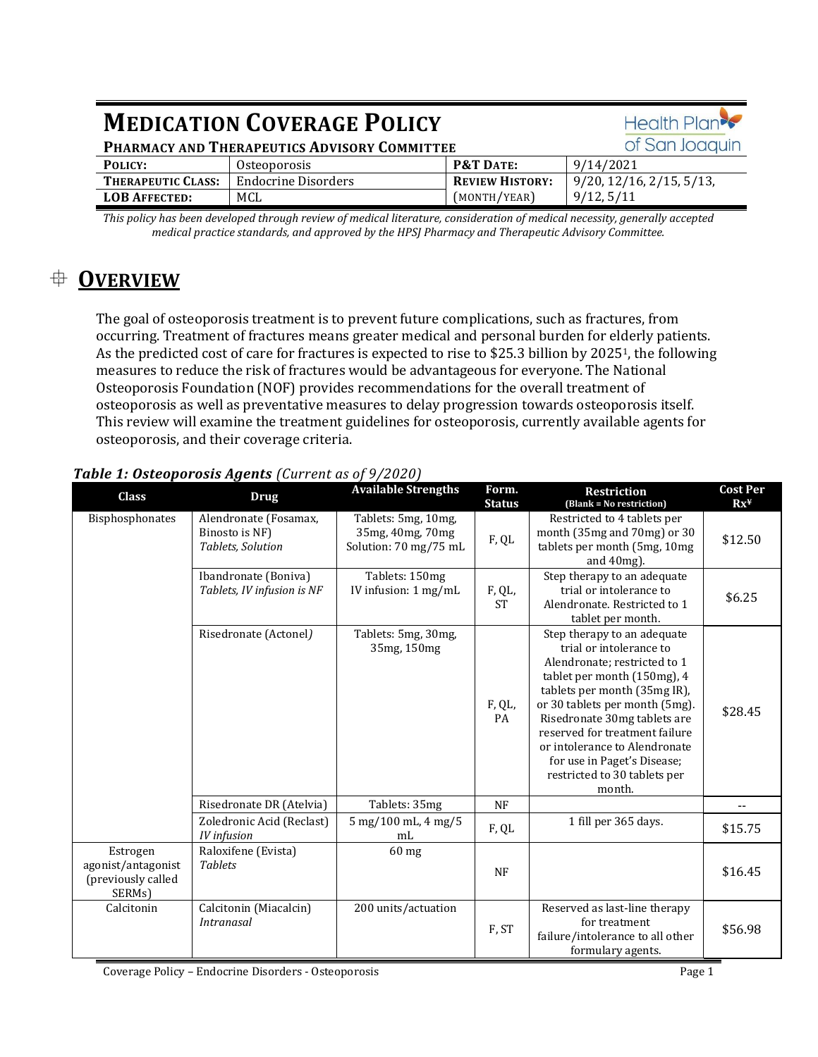| <b>MEDICATION COVERAGE POLICY</b>            |                            |                        | Health Plan                          |
|----------------------------------------------|----------------------------|------------------------|--------------------------------------|
| PHARMACY AND THERAPEUTICS ADVISORY COMMITTEE |                            |                        | of San Joaquin                       |
| POLICY:                                      | Osteoporosis               | <b>P&amp;T DATE:</b>   | 9/14/2021                            |
| THERAPEUTIC CLASS:                           | <b>Endocrine Disorders</b> | <b>REVIEW HISTORY:</b> | $9/20$ , $12/16$ , $2/15$ , $5/13$ , |
| <b>LOB AFFECTED:</b>                         | MCL                        | (MONTH/YEAR)           | 9/12, 5/11                           |

*This policy has been developed through review of medical literature, consideration of medical necessity, generally accepted medical practice standards, and approved by the HPSJ Pharmacy and Therapeutic Advisory Committee.*

# **OVERVIEW**

The goal of osteoporosis treatment is to prevent future complications, such as fractures, from occurring. Treatment of fractures means greater medical and personal burden for elderly patients. As the predicted cost of care for fractures is expected to rise to \$25.3 billion by 20251, the following measures to reduce the risk of fractures would be advantageous for everyone. The National Osteoporosis Foundation (NOF) provides recommendations for the overall treatment of osteoporosis as well as preventative measures to delay progression towards osteoporosis itself. This review will examine the treatment guidelines for osteoporosis, currently available agents for osteoporosis, and their coverage criteria.

# *Table 1: Osteoporosis Agents (Current as of 9/2020)*

| <b>Class</b>                                                   | <b>Drug</b>                                                  | <b>Available Strengths</b>                                       | Form.<br><b>Status</b> | Restriction<br>(Blank = No restriction)                                                                                                                                                                                                                                                                                                                             | <b>Cost Per</b><br>$Rx^y$ |
|----------------------------------------------------------------|--------------------------------------------------------------|------------------------------------------------------------------|------------------------|---------------------------------------------------------------------------------------------------------------------------------------------------------------------------------------------------------------------------------------------------------------------------------------------------------------------------------------------------------------------|---------------------------|
| Bisphosphonates                                                | Alendronate (Fosamax,<br>Binosto is NF)<br>Tablets, Solution | Tablets: 5mg, 10mg,<br>35mg, 40mg, 70mg<br>Solution: 70 mg/75 mL | ${\rm F,QL}$           | Restricted to 4 tablets per<br>month (35mg and 70mg) or 30<br>tablets per month (5mg, 10mg<br>and $40mg$ ).                                                                                                                                                                                                                                                         | \$12.50                   |
|                                                                | Ibandronate (Boniva)<br>Tablets, IV infusion is NF           | Tablets: 150mg<br>IV infusion: 1 mg/mL                           | F, QL,<br><b>ST</b>    | Step therapy to an adequate<br>trial or intolerance to<br>Alendronate. Restricted to 1<br>tablet per month.                                                                                                                                                                                                                                                         | \$6.25                    |
|                                                                | Risedronate (Actonel)                                        | Tablets: 5mg, 30mg,<br>35mg, 150mg                               | F, QL,<br>PA           | Step therapy to an adequate<br>trial or intolerance to<br>Alendronate; restricted to 1<br>tablet per month (150mg), 4<br>tablets per month (35mg IR),<br>or 30 tablets per month (5mg).<br>Risedronate 30mg tablets are<br>reserved for treatment failure<br>or intolerance to Alendronate<br>for use in Paget's Disease;<br>restricted to 30 tablets per<br>month. | \$28.45                   |
|                                                                | Risedronate DR (Atelvia)                                     | Tablets: 35mg                                                    | NF                     |                                                                                                                                                                                                                                                                                                                                                                     | $-$                       |
|                                                                | Zoledronic Acid (Reclast)<br><b>IV</b> infusion              | 5 mg/100 mL, 4 mg/5<br>mL                                        | F, QL                  | 1 fill per 365 days.                                                                                                                                                                                                                                                                                                                                                | \$15.75                   |
| Estrogen<br>agonist/antagonist<br>(previously called<br>SERMs) | Raloxifene (Evista)<br><b>Tablets</b>                        | $60$ mg                                                          | <b>NF</b>              |                                                                                                                                                                                                                                                                                                                                                                     | \$16.45                   |
| Calcitonin                                                     | Calcitonin (Miacalcin)<br><i>Intranasal</i>                  | 200 units/actuation                                              | F, ST                  | Reserved as last-line therapy<br>for treatment<br>failure/intolerance to all other<br>formulary agents.                                                                                                                                                                                                                                                             | \$56.98                   |

Coverage Policy – Endocrine Disorders - Osteoporosis Page 1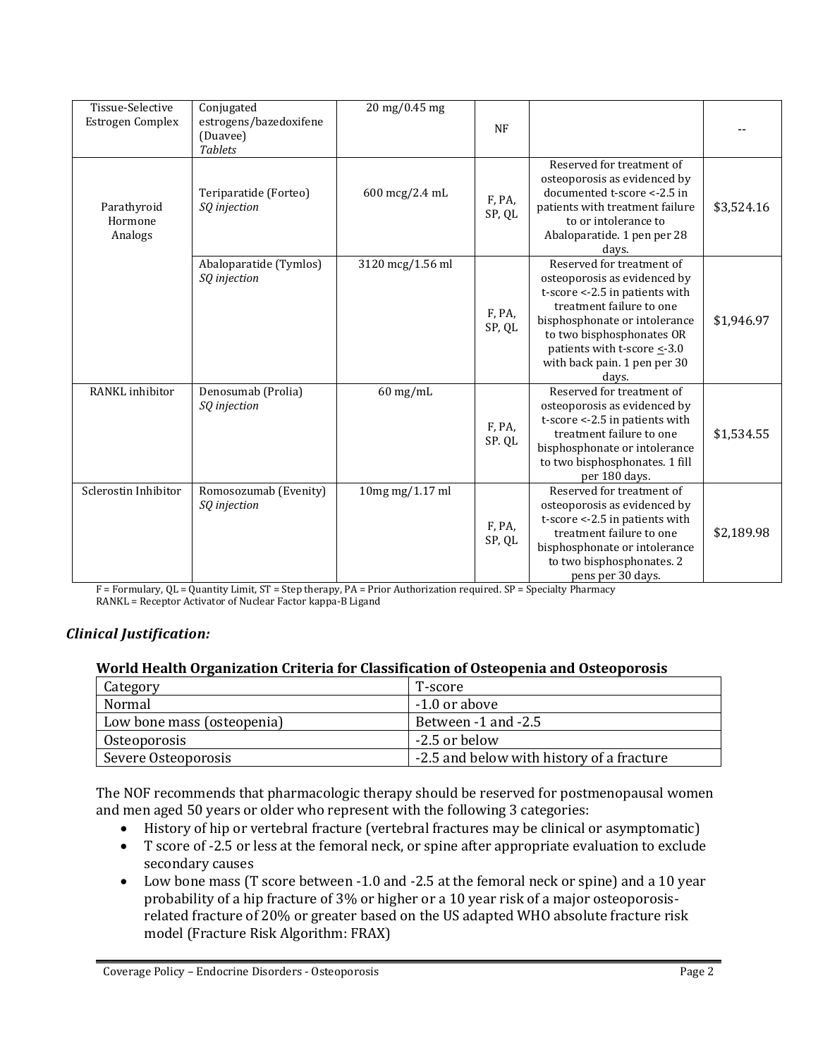| Tissue-Selective<br>Estrogen Complex | Conjugated<br>estrogens/bazedoxifene<br>(Duavee)<br><b>Tablets</b> | 20 mg/0.45 mg    | <b>NF</b>        |                                                                                                                                                                                                                                                                      |            |
|--------------------------------------|--------------------------------------------------------------------|------------------|------------------|----------------------------------------------------------------------------------------------------------------------------------------------------------------------------------------------------------------------------------------------------------------------|------------|
| Parathyroid<br>Hormone<br>Analogs    | Teriparatide (Forteo)<br>SQ injection                              | 600 mcg/2.4 mL   | F, PA,<br>SP, QL | Reserved for treatment of<br>osteoporosis as evidenced by<br>documented t-score <- 2.5 in<br>patients with treatment failure<br>to or intolerance to<br>Abaloparatide. 1 pen per 28<br>days.                                                                         | \$3,524.16 |
|                                      | Abaloparatide (Tymlos)<br>SQ injection                             | 3120 mcg/1.56 ml | F, PA,<br>SP, QL | Reserved for treatment of<br>osteoporosis as evidenced by<br>t-score <- 2.5 in patients with<br>treatment failure to one<br>bisphosphonate or intolerance<br>to two bisphosphonates OR<br>patients with t-score $\leq$ -3.0<br>with back pain. 1 pen per 30<br>days. | \$1,946.97 |
| RANKL inhibitor                      | Denosumab (Prolia)<br>SQ injection                                 | $60$ mg/mL       | F, PA,<br>SP. QL | Reserved for treatment of<br>osteoporosis as evidenced by<br>t-score <- 2.5 in patients with<br>treatment failure to one<br>bisphosphonate or intolerance<br>to two bisphosphonates. 1 fill<br>per 180 days.                                                         | \$1,534.55 |
| Sclerostin Inhibitor                 | Romosozumab (Evenity)<br>SQ injection                              | 10mg mg/1.17 ml  | F, PA,<br>SP, QL | Reserved for treatment of<br>osteoporosis as evidenced by<br>t-score <- 2.5 in patients with<br>treatment failure to one<br>bisphosphonate or intolerance<br>to two bisphosphonates. 2<br>pens per 30 days.                                                          | \$2,189.98 |

F = Formulary, QL = Quantity Limit, ST = Step therapy, PA = Prior Authorization required. SP = Specialty Pharmacy RANKL = Receptor Activator of Nuclear Factor kappa-B Ligand

# *Clinical Justification:*

### **World Health Organization Criteria for Classification of Osteopenia and Osteoporosis**

| Category                   | T-score                                   |
|----------------------------|-------------------------------------------|
| Normal                     | $-1.0$ or above                           |
| Low bone mass (osteopenia) | Between -1 and -2.5                       |
| Osteoporosis               | -2.5 or below                             |
| Severe Osteoporosis        | -2.5 and below with history of a fracture |

The NOF recommends that pharmacologic therapy should be reserved for postmenopausal women and men aged 50 years or older who represent with the following 3 categories:

- History of hip or vertebral fracture (vertebral fractures may be clinical or asymptomatic)
- T score of -2.5 or less at the femoral neck, or spine after appropriate evaluation to exclude secondary causes
- Low bone mass (T score between -1.0 and -2.5 at the femoral neck or spine) and a 10 year probability of a hip fracture of 3% or higher or a 10 year risk of a major osteoporosisrelated fracture of 20% or greater based on the US adapted WHO absolute fracture risk model (Fracture Risk Algorithm: FRAX)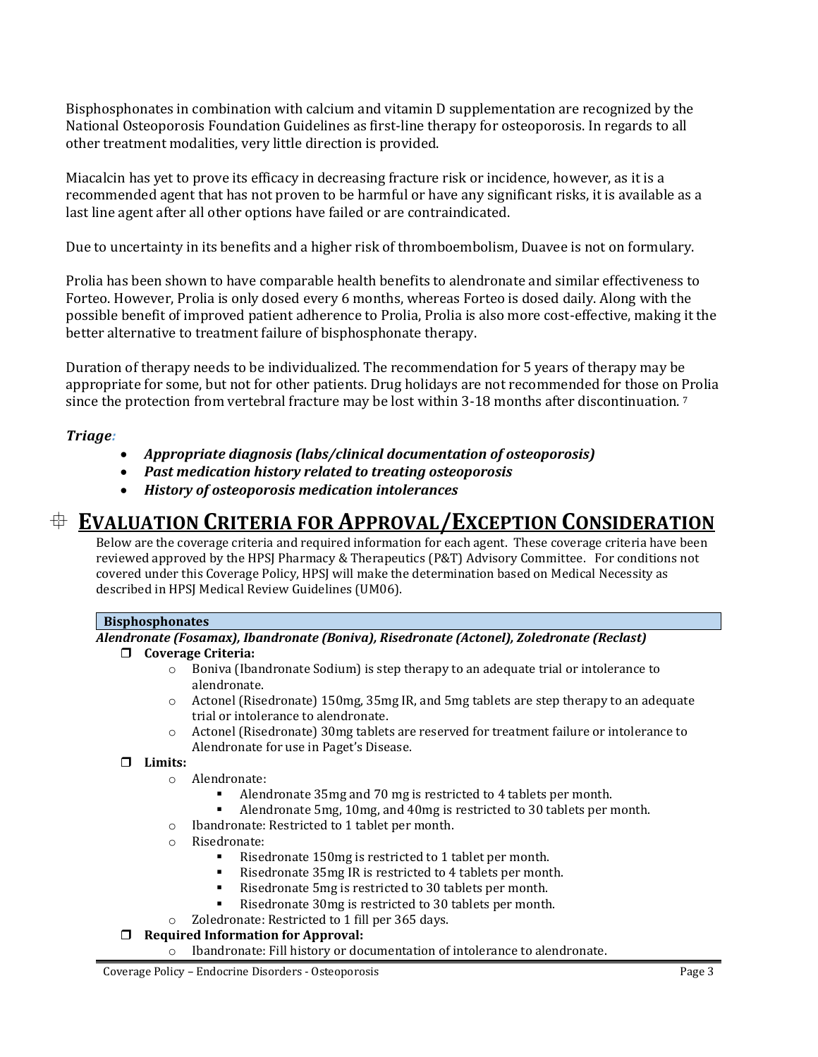Bisphosphonates in combination with calcium and vitamin D supplementation are recognized by the National Osteoporosis Foundation Guidelines as first-line therapy for osteoporosis. In regards to all other treatment modalities, very little direction is provided.

Miacalcin has yet to prove its efficacy in decreasing fracture risk or incidence, however, as it is a recommended agent that has not proven to be harmful or have any significant risks, it is available as a last line agent after all other options have failed or are contraindicated.

Due to uncertainty in its benefits and a higher risk of thromboembolism, Duavee is not on formulary.

Prolia has been shown to have comparable health benefits to alendronate and similar effectiveness to Forteo. However, Prolia is only dosed every 6 months, whereas Forteo is dosed daily. Along with the possible benefit of improved patient adherence to Prolia, Prolia is also more cost-effective, making it the better alternative to treatment failure of bisphosphonate therapy.

Duration of therapy needs to be individualized. The recommendation for 5 years of therapy may be appropriate for some, but not for other patients. Drug holidays are not recommended for those on Prolia since the protection from vertebral fracture may be lost within 3-18 months after discontinuation. <sup>7</sup>

# *Triage:*

- *Appropriate diagnosis (labs/clinical documentation of osteoporosis)*
- *Past medication history related to treating osteoporosis*
- *History of osteoporosis medication intolerances*

# **EVALUATION CRITERIA FOR APPROVAL/EXCEPTION CONSIDERATION**

Below are the coverage criteria and required information for each agent. These coverage criteria have been reviewed approved by the HPSJ Pharmacy & Therapeutics (P&T) Advisory Committee. For conditions not covered under this Coverage Policy, HPSJ will make the determination based on Medical Necessity as described in HPSJ Medical Review Guidelines (UM06).

### **Bisphosphonates**

## *Alendronate (Fosamax), Ibandronate (Boniva), Risedronate (Actonel), Zoledronate (Reclast)*

#### **Coverage Criteria:**

- $\circ$  Boniva (Ibandronate Sodium) is step therapy to an adequate trial or intolerance to alendronate.
- o Actonel (Risedronate) 150mg, 35mg IR, and 5mg tablets are step therapy to an adequate trial or intolerance to alendronate.
- o Actonel (Risedronate) 30mg tablets are reserved for treatment failure or intolerance to Alendronate for use in Paget's Disease.

### **Limits:**

- o Alendronate:
	- Alendronate 35mg and 70 mg is restricted to 4 tablets per month.
	- Alendronate 5mg, 10mg, and 40mg is restricted to 30 tablets per month.
- o Ibandronate: Restricted to 1 tablet per month.
- o Risedronate:
	- Risedronate 150mg is restricted to 1 tablet per month.
	- Risedronate 35mg IR is restricted to 4 tablets per month.
	- Risedronate 5mg is restricted to 30 tablets per month.
	- Risedronate 30mg is restricted to 30 tablets per month.
- o Zoledronate: Restricted to 1 fill per 365 days.

#### **Required Information for Approval:**

o Ibandronate: Fill history or documentation of intolerance to alendronate.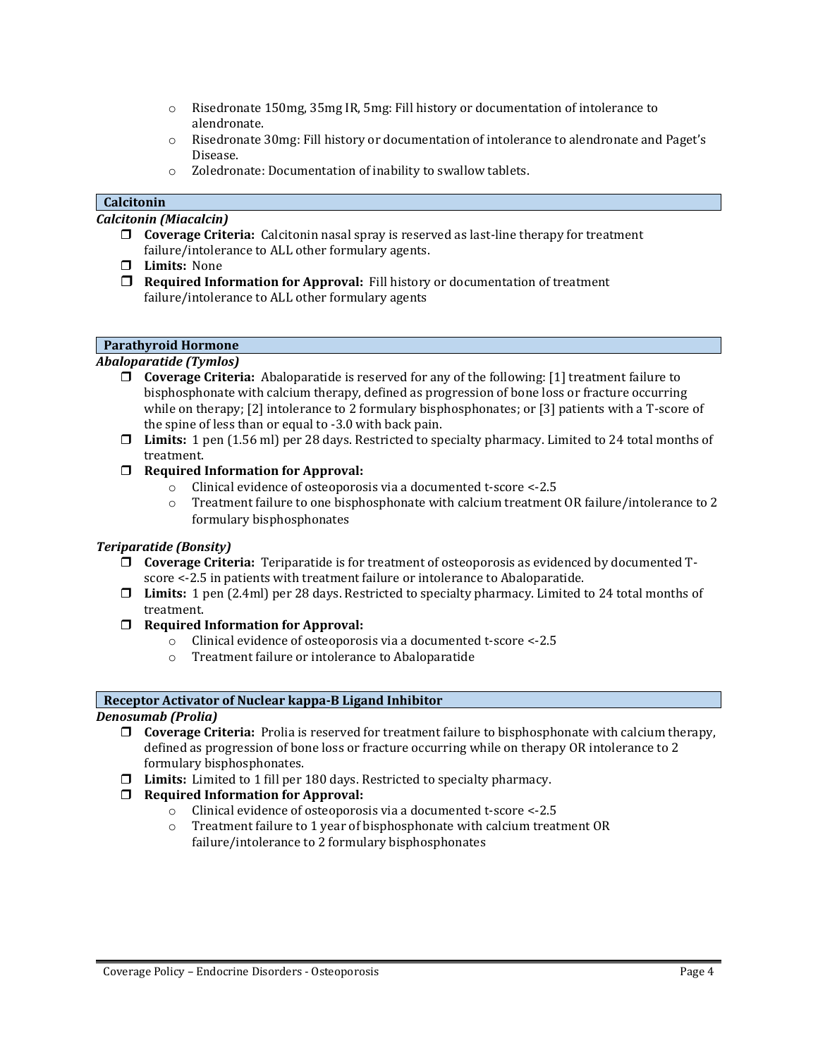- o Risedronate 150mg, 35mg IR, 5mg: Fill history or documentation of intolerance to alendronate.
- o Risedronate 30mg: Fill history or documentation of intolerance to alendronate and Paget's Disease.
- o Zoledronate: Documentation of inability to swallow tablets.

#### **Calcitonin**

*Calcitonin (Miacalcin)*

- **Coverage Criteria:** Calcitonin nasal spray is reserved as last-line therapy for treatment failure/intolerance to ALL other formulary agents.
- **Limits:** None
- **Required Information for Approval:** Fill history or documentation of treatment failure/intolerance to ALL other formulary agents

#### **Parathyroid Hormone**

#### *Abaloparatide (Tymlos)*

- **Coverage Criteria:** Abaloparatide is reserved for any of the following: [1] treatment failure to bisphosphonate with calcium therapy, defined as progression of bone loss or fracture occurring while on therapy; [2] intolerance to 2 formulary bisphosphonates; or [3] patients with a T-score of the spine of less than or equal to -3.0 with back pain.
- **Limits:** 1 pen (1.56 ml) per 28 days. Restricted to specialty pharmacy. Limited to 24 total months of treatment.
- **Required Information for Approval:** 
	- o Clinical evidence of osteoporosis via a documented t-score <-2.5
	- o Treatment failure to one bisphosphonate with calcium treatment OR failure/intolerance to 2 formulary bisphosphonates

#### *Teriparatide (Bonsity)*

- **Coverage Criteria:** Teriparatide is for treatment of osteoporosis as evidenced by documented Tscore <-2.5 in patients with treatment failure or intolerance to Abaloparatide.
- **Limits:** 1 pen (2.4ml) per 28 days. Restricted to specialty pharmacy. Limited to 24 total months of treatment.
- **Required Information for Approval:** 
	- o Clinical evidence of osteoporosis via a documented t-score <-2.5
	- o Treatment failure or intolerance to Abaloparatide

#### **Receptor Activator of Nuclear kappa-B Ligand Inhibitor**

#### *Denosumab (Prolia)*

- **Coverage Criteria:** Prolia is reserved for treatment failure to bisphosphonate with calcium therapy, defined as progression of bone loss or fracture occurring while on therapy OR intolerance to 2 formulary bisphosphonates.
- **Limits:** Limited to 1 fill per 180 days. Restricted to specialty pharmacy.

#### **Required Information for Approval:**

- o Clinical evidence of osteoporosis via a documented t-score <-2.5
- o Treatment failure to 1 year of bisphosphonate with calcium treatment OR failure/intolerance to 2 formulary bisphosphonates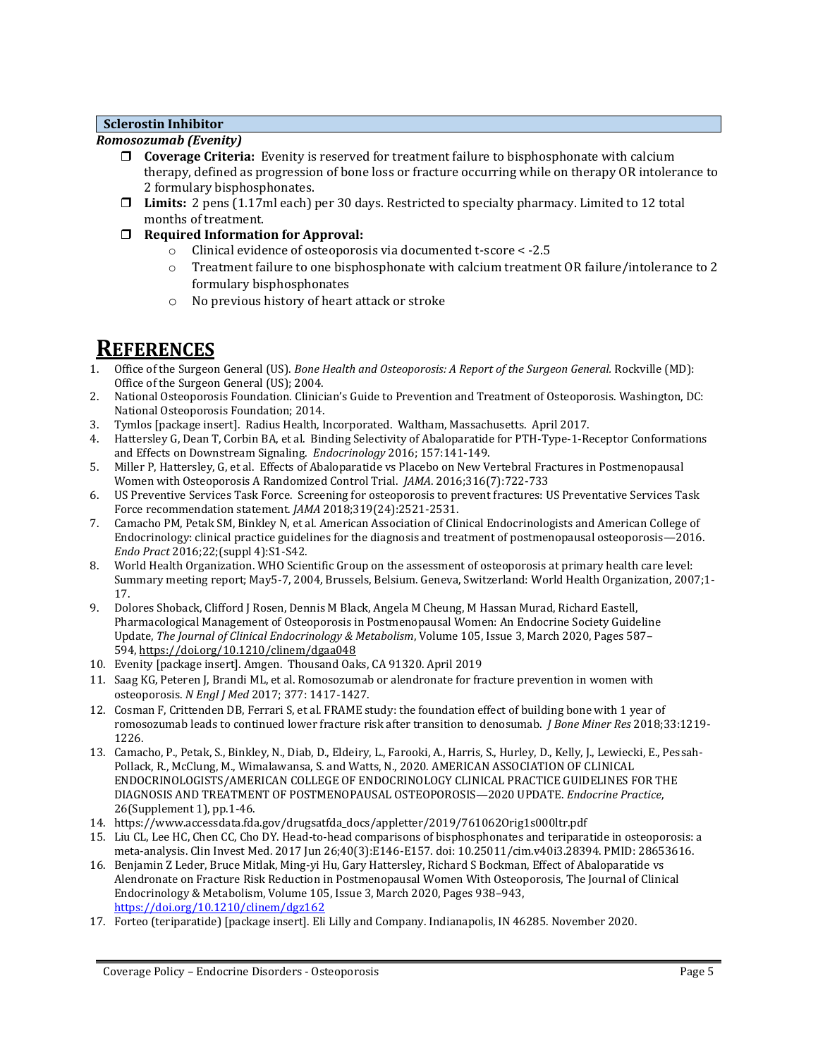#### **Sclerostin Inhibitor**

#### *Romosozumab (Evenity)*

- **Coverage Criteria:** Evenity is reserved for treatment failure to bisphosphonate with calcium therapy, defined as progression of bone loss or fracture occurring while on therapy OR intolerance to 2 formulary bisphosphonates.
- **Limits:** 2 pens (1.17ml each) per 30 days. Restricted to specialty pharmacy. Limited to 12 total months of treatment.
- **Required Information for Approval:** 
	- o Clinical evidence of osteoporosis via documented t-score < -2.5
	- o Treatment failure to one bisphosphonate with calcium treatment OR failure/intolerance to 2 formulary bisphosphonates
	- o No previous history of heart attack or stroke

# **REFERENCES**

- 1. Office of the Surgeon General (US). *Bone Health and Osteoporosis: A Report of the Surgeon General.* Rockville (MD): Office of the Surgeon General (US); 2004.
- 2. National Osteoporosis Foundation. Clinician's Guide to Prevention and Treatment of Osteoporosis. Washington, DC: National Osteoporosis Foundation; 2014.
- 3. Tymlos [package insert]. Radius Health, Incorporated. Waltham, Massachusetts. April 2017.
- 4. Hattersley G, Dean T, Corbin BA, et al. Binding Selectivity of Abaloparatide for PTH-Type-1-Receptor Conformations and Effects on Downstream Signaling. *Endocrinology* 2016; 157:141-149.
- 5. Miller P, Hattersley, G, et al. Effects of Abaloparatide vs Placebo on New Vertebral Fractures in Postmenopausal Women with Osteoporosis A Randomized Control Trial. *JAMA*. 2016;316(7):722-733
- 6. US Preventive Services Task Force. Screening for osteoporosis to prevent fractures: US Preventative Services Task Force recommendation statement. *JAMA* 2018;319(24):2521-2531.
- 7. Camacho PM, Petak SM, Binkley N, et al. American Association of Clinical Endocrinologists and American College of Endocrinology: clinical practice guidelines for the diagnosis and treatment of postmenopausal osteoporosis—2016. *Endo Pract* 2016;22;(suppl 4):S1-S42.
- 8. World Health Organization. WHO Scientific Group on the assessment of osteoporosis at primary health care level: Summary meeting report; May5-7, 2004, Brussels, Belsium. Geneva, Switzerland: World Health Organization, 2007;1- 17.
- 9. Dolores Shoback, Clifford J Rosen, Dennis M Black, Angela M Cheung, M Hassan Murad, Richard Eastell, Pharmacological Management of Osteoporosis in Postmenopausal Women: An Endocrine Society Guideline Update, *The Journal of Clinical Endocrinology & Metabolism*, Volume 105, Issue 3, March 2020, Pages 587– 594, <https://doi.org/10.1210/clinem/dgaa048>
- 10. Evenity [package insert]. Amgen. Thousand Oaks, CA 91320. April 2019
- 11. Saag KG, Peteren J, Brandi ML, et al. Romosozumab or alendronate for fracture prevention in women with osteoporosis. *N Engl J Med* 2017; 377: 1417-1427.
- 12. Cosman F, Crittenden DB, Ferrari S, et al. FRAME study: the foundation effect of building bone with 1 year of romosozumab leads to continued lower fracture risk after transition to denosumab. *J Bone Miner Res* 2018;33:1219- 1226.
- 13. Camacho, P., Petak, S., Binkley, N., Diab, D., Eldeiry, L., Farooki, A., Harris, S., Hurley, D., Kelly, J., Lewiecki, E., Pessah-Pollack, R., McClung, M., Wimalawansa, S. and Watts, N., 2020. AMERICAN ASSOCIATION OF CLINICAL ENDOCRINOLOGISTS/AMERICAN COLLEGE OF ENDOCRINOLOGY CLINICAL PRACTICE GUIDELINES FOR THE DIAGNOSIS AND TREATMENT OF POSTMENOPAUSAL OSTEOPOROSIS—2020 UPDATE. *Endocrine Practice*, 26(Supplement 1), pp.1-46.
- 14. https://www.accessdata.fda.gov/drugsatfda\_docs/appletter/2019/761062Orig1s000ltr.pdf
- 15. Liu CL, Lee HC, Chen CC, Cho DY. Head-to-head comparisons of bisphosphonates and teriparatide in osteoporosis: a meta-analysis. Clin Invest Med. 2017 Jun 26;40(3):E146-E157. doi: 10.25011/cim.v40i3.28394. PMID: 28653616.
- 16. Benjamin Z Leder, Bruce Mitlak, Ming-yi Hu, Gary Hattersley, Richard S Bockman, Effect of Abaloparatide vs Alendronate on Fracture Risk Reduction in Postmenopausal Women With Osteoporosis, The Journal of Clinical Endocrinology & Metabolism, Volume 105, Issue 3, March 2020, Pages 938–943, <https://doi.org/10.1210/clinem/dgz162>
- 17. Forteo (teriparatide) [package insert]. Eli Lilly and Company. Indianapolis, IN 46285. November 2020.